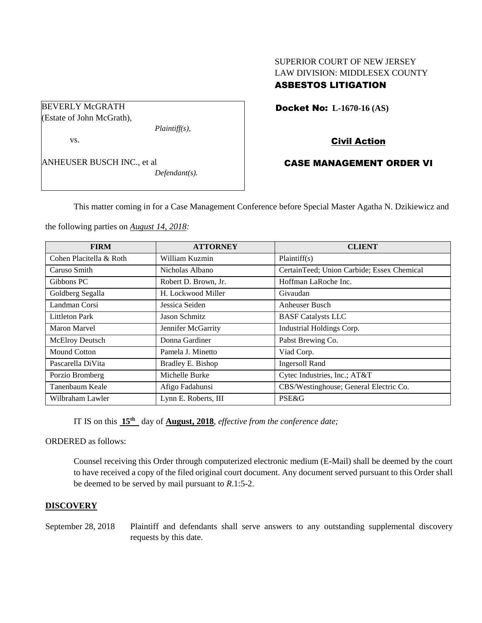## SUPERIOR COURT OF NEW JERSEY LAW DIVISION: MIDDLESEX COUNTY ASBESTOS LITIGATION

Docket No: **L-1670-16 (AS)** 

Civil Action

CASE MANAGEMENT ORDER VI

This matter coming in for a Case Management Conference before Special Master Agatha N. Dzikiewicz and

the following parties on *August 14, 2018:*

| <b>FIRM</b>             | <b>ATTORNEY</b>      | <b>CLIENT</b>                              |
|-------------------------|----------------------|--------------------------------------------|
| Cohen Placitella & Roth | William Kuzmin       | Plaintiff(s)                               |
| Caruso Smith            | Nicholas Albano      | CertainTeed; Union Carbide; Essex Chemical |
| Gibbons PC              | Robert D. Brown, Jr. | Hoffman LaRoche Inc.                       |
| Goldberg Segalla        | H. Lockwood Miller   | Givaudan                                   |
| Landman Corsi           | Jessica Seiden       | Anheuser Busch                             |
| <b>Littleton Park</b>   | Jason Schmitz        | <b>BASF</b> Catalysts LLC                  |
| Maron Marvel            | Jennifer McGarrity   | Industrial Holdings Corp.                  |
| <b>McElroy Deutsch</b>  | Donna Gardiner       | Pabst Brewing Co.                          |
| <b>Mound Cotton</b>     | Pamela J. Minetto    | Viad Corp.                                 |
| Pascarella DiVita       | Bradley E. Bishop    | <b>Ingersoll Rand</b>                      |
| Porzio Bromberg         | Michelle Burke       | Cytec Industries, Inc.; AT&T               |
| Tanenbaum Keale         | Afigo Fadahunsi      | CBS/Westinghouse; General Electric Co.     |
| Wilbraham Lawler        | Lynn E. Roberts, III | PSE&G                                      |

IT IS on this  $15<sup>th</sup>$  day of **August, 2018**, *effective from the conference date*;

ORDERED as follows:

Counsel receiving this Order through computerized electronic medium (E-Mail) shall be deemed by the court to have received a copy of the filed original court document. Any document served pursuant to this Order shall be deemed to be served by mail pursuant to *R*.1:5-2.

### **DISCOVERY**

September 28, 2018 Plaintiff and defendants shall serve answers to any outstanding supplemental discovery requests by this date.

BEVERLY McGRATH (Estate of John McGrath),

vs.

ANHEUSER BUSCH INC., et al *Defendant(s).*

*Plaintiff(s),*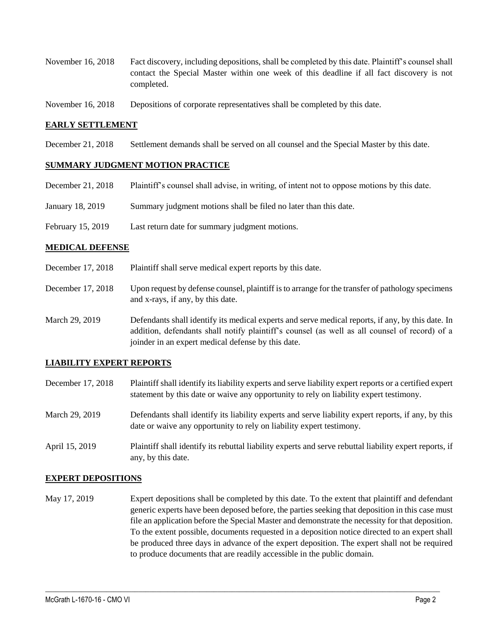- November 16, 2018 Fact discovery, including depositions, shall be completed by this date. Plaintiff's counsel shall contact the Special Master within one week of this deadline if all fact discovery is not completed.
- November 16, 2018 Depositions of corporate representatives shall be completed by this date.

#### **EARLY SETTLEMENT**

December 21, 2018 Settlement demands shall be served on all counsel and the Special Master by this date.

#### **SUMMARY JUDGMENT MOTION PRACTICE**

| December 21, 2018 | Plaintiff's counsel shall advise, in writing, of intent not to oppose motions by this date. |
|-------------------|---------------------------------------------------------------------------------------------|
| January 18, 2019  | Summary judgment motions shall be filed no later than this date.                            |

February 15, 2019 Last return date for summary judgment motions.

#### **MEDICAL DEFENSE**

- December 17, 2018 Plaintiff shall serve medical expert reports by this date.
- December 17, 2018 Upon request by defense counsel, plaintiff is to arrange for the transfer of pathology specimens and x-rays, if any, by this date.
- March 29, 2019 Defendants shall identify its medical experts and serve medical reports, if any, by this date. In addition, defendants shall notify plaintiff's counsel (as well as all counsel of record) of a joinder in an expert medical defense by this date.

### **LIABILITY EXPERT REPORTS**

- December 17, 2018 Plaintiff shall identify its liability experts and serve liability expert reports or a certified expert statement by this date or waive any opportunity to rely on liability expert testimony.
- March 29, 2019 Defendants shall identify its liability experts and serve liability expert reports, if any, by this date or waive any opportunity to rely on liability expert testimony.
- April 15, 2019 Plaintiff shall identify its rebuttal liability experts and serve rebuttal liability expert reports, if any, by this date.

#### **EXPERT DEPOSITIONS**

May 17, 2019 Expert depositions shall be completed by this date. To the extent that plaintiff and defendant generic experts have been deposed before, the parties seeking that deposition in this case must file an application before the Special Master and demonstrate the necessity for that deposition. To the extent possible, documents requested in a deposition notice directed to an expert shall be produced three days in advance of the expert deposition. The expert shall not be required to produce documents that are readily accessible in the public domain.

 $\_$  ,  $\_$  ,  $\_$  ,  $\_$  ,  $\_$  ,  $\_$  ,  $\_$  ,  $\_$  ,  $\_$  ,  $\_$  ,  $\_$  ,  $\_$  ,  $\_$  ,  $\_$  ,  $\_$  ,  $\_$  ,  $\_$  ,  $\_$  ,  $\_$  ,  $\_$  ,  $\_$  ,  $\_$  ,  $\_$  ,  $\_$  ,  $\_$  ,  $\_$  ,  $\_$  ,  $\_$  ,  $\_$  ,  $\_$  ,  $\_$  ,  $\_$  ,  $\_$  ,  $\_$  ,  $\_$  ,  $\_$  ,  $\_$  ,